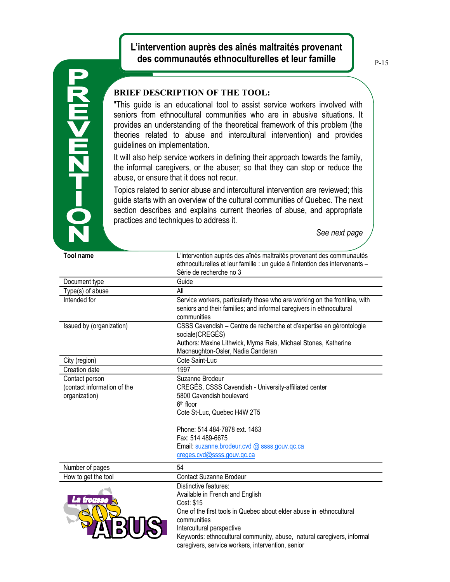## **L'intervention auprès des aînés maltraités provenant des communautés ethnoculturelles et leur famille**

## **20-12m<m2**

## **BRIEF DESCRIPTION OF THE TOOL:**

"This guide is an educational tool to assist service workers involved with seniors from ethnocultural communities who are in abusive situations. It provides an understanding of the theoretical framework of this problem (the theories related to abuse and intercultural intervention) and provides guidelines on implementation.

It will also help service workers in defining their approach towards the family, the informal caregivers, or the abuser; so that they can stop or reduce the abuse, or ensure that it does not recur.

Topics related to senior abuse and intercultural intervention are reviewed; this guide starts with an overview of the cultural communities of Quebec. The next section describes and explains current theories of abuse, and appropriate practices and techniques to address it.

*See next page*

| <b>Tool name</b>                                               | L'intervention auprès des aînés maltraités provenant des communautés<br>ethnoculturelles et leur famille : un guide à l'intention des intervenants -<br>Série de recherche no 3                                                                                                                                          |
|----------------------------------------------------------------|--------------------------------------------------------------------------------------------------------------------------------------------------------------------------------------------------------------------------------------------------------------------------------------------------------------------------|
| Document type                                                  | Guide                                                                                                                                                                                                                                                                                                                    |
| Type(s) of abuse                                               | All                                                                                                                                                                                                                                                                                                                      |
| Intended for                                                   | Service workers, particularly those who are working on the frontline, with<br>seniors and their families; and informal caregivers in ethnocultural<br>communities                                                                                                                                                        |
| Issued by (organization)                                       | CSSS Cavendish - Centre de recherche et d'expertise en gérontologie<br>sociale(CREGÉS)<br>Authors: Maxine Lithwick, Myrna Reis, Michael Stones, Katherine                                                                                                                                                                |
|                                                                | Macnaughton-Osler, Nadia Canderan                                                                                                                                                                                                                                                                                        |
| City (region)                                                  | Cote Saint-Luc                                                                                                                                                                                                                                                                                                           |
| Creation date                                                  | 1997                                                                                                                                                                                                                                                                                                                     |
| Contact person<br>(contact information of the<br>organization) | Suzanne Brodeur<br>CREGÉS, CSSS Cavendish - University-affiliated center<br>5800 Cavendish boulevard<br>$6th$ floor<br>Cote St-Luc, Quebec H4W 2T5<br>Phone: 514 484-7878 ext. 1463                                                                                                                                      |
|                                                                | Fax: 514 489-6675                                                                                                                                                                                                                                                                                                        |
|                                                                | Email: suzanne.brodeur.cvd @ ssss.gouv.qc.ca                                                                                                                                                                                                                                                                             |
|                                                                | creges.cvd@ssss.gouv.gc.ca                                                                                                                                                                                                                                                                                               |
| Number of pages                                                | 54                                                                                                                                                                                                                                                                                                                       |
| How to get the tool                                            | <b>Contact Suzanne Brodeur</b>                                                                                                                                                                                                                                                                                           |
| trousse                                                        | Distinctive features:<br>Available in French and English<br>Cost: \$15<br>One of the first tools in Quebec about elder abuse in ethnocultural<br>communities<br>Intercultural perspective<br>Keywords: ethnocultural community, abuse, natural caregivers, informal<br>caregivers, service workers, intervention, senior |